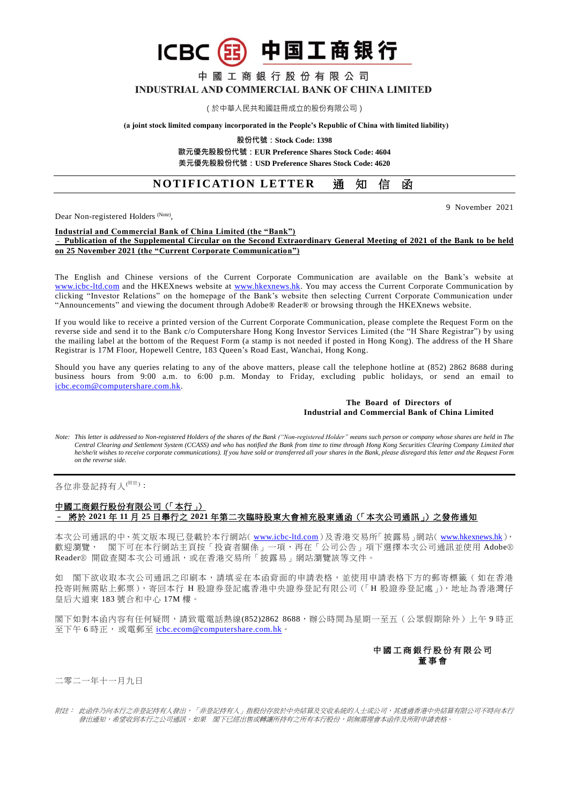中國工商銀行股份有限公司 INDUSTRIAL AND COMMERCIAL BANK OF CHINA LIMITED

(国)中国工商银行

(於中華人民共和國註冊成立的股份有限公司)

**(a joint stock limited company incorporated in the People's Republic of China with limited liability)**

**股份代號:Stock Code: 1398**

**歐元優先股股份代號:EUR Preference Shares Stock Code: 4604 美元優先股股份代號:USD Preference Shares Stock Code: 4620**

# **NOTIFICATION LETTER 涌知信函**

Dear Non-registered Holders<sup> (Note)</sup>,

## **Industrial and Commercial Bank of China Limited (the "Bank")**

**ICBC** 

#### – **Publication of the Supplemental Circular on the Second Extraordinary General Meeting of 2021 of the Bank to be held on 25 November 2021 (the "Current Corporate Communication")**

The English and Chinese versions of the Current Corporate Communication are available on the Bank's website at [www.icbc-ltd.com](http://www.icbc-ltd.com/ICBCLtd/en/default.htm) and the HKEXnews website at [www.hkexnews.hk.](http://www.hkexnews.hk/) You may access the Current Corporate Communication by clicking "Investor Relations" on the homepage of the Bank's website then selecting Current Corporate Communication under "Announcements" and viewing the document through Adobe® Reader® or browsing through the HKEXnews website.

If you would like to receive a printed version of the Current Corporate Communication, please complete the Request Form on the reverse side and send it to the Bank c/o Computershare Hong Kong Investor Services Limited (the "H Share Registrar") by using the mailing label at the bottom of the Request Form (a stamp is not needed if posted in Hong Kong). The address of the H Share Registrar is 17M Floor, Hopewell Centre, 183 Queen's Road East, Wanchai, Hong Kong.

Should you have any queries relating to any of the above matters, please call the telephone hotline at (852) 2862 8688 during business hours from 9:00 a.m. to 6:00 p.m. Monday to Friday, excluding public holidays, or send an email to [icbc.ecom@computershare.com.hk.](mailto:icbc.ecom@computershare.com.hk)

#### **The Board of Directors of Industrial and Commercial Bank of China Limited**

*Note: This letter is addressed to Non-registered Holders of the shares of the Bank ("Non-registered Holder" means such person or company whose shares are held in The Central Clearing and Settlement System (CCASS) and who has notified the Bank from time to time through Hong Kong Securities Clearing Company Limited that he/she/it wishes to receive corporate communications). If you have sold or transferred all your shares in the Bank, please disregard this letter and the Request Form on the reverse side.*

各位非登記持有人<sup>(附註)</sup>:

### 中國工商銀行股份有限公司(「本行」) – 將於 **2021** 年 **11** 月 **25** 日舉行之 **2021** 年第二次臨時股東大會補充股東通函(「本次公司通訊」)之發佈通知

本次公司通訊的中、英文版本現已登載於本行網站( [www.icbc-ltd.com](http://www.icbc-ltd.com/icbcltd/default.htm) )及香港交易所「披露易 」網站( [www.hkexnews.hk](http://www.hkexnews.hk/)), 歡迎瀏覽, 閣下可在本行網站主頁按「投資者關係」一項,再在「公司公告」項下選擇本次公司通訊並使用 Adobe® Reader® 開啟查閱本次公司通訊,或在香港交易所「披露易」網站瀏覽該等文件。

如 閣下欲收取本次公司通訊之印刷本,請填妥在本函背面的申請表格,並使用申請表格下方的郵寄標籤 ( 如在香港 投寄則無需貼上郵票),寄回本行 H 股證券登記處香港中央證券登記有限公司(「H 股證券登記處」),地址為香港灣仔 皇后大道東 183 號合和中心 17M 樓。

閣下如對本函內容有任何疑問,請致電電話熱線(852)2862 8688,辦公時間為星期一至五(公眾假期除外)上午9時正 至下午6時正,或電郵至 [icbc.ecom@computershare.com.hk](mailto:icbc.ecom@computershare.com.hk)。

## 中 國 工 商 銀 行 股 份 有 限 公 司 董事會

二零二一年十一月九日

附註: 此函件乃向本行之非登記持有人發出,「非登記持有人」指股份存放於中央結算及交收系統的人士或公司,其透過香港中央結算有限公司不時向本行 發出通知,希望收到本行之公司通訊。如果 閣下已經出售或轉讓所持有之所有本行股份,則無需理會本函件及所附申請表格。

9 November 2021